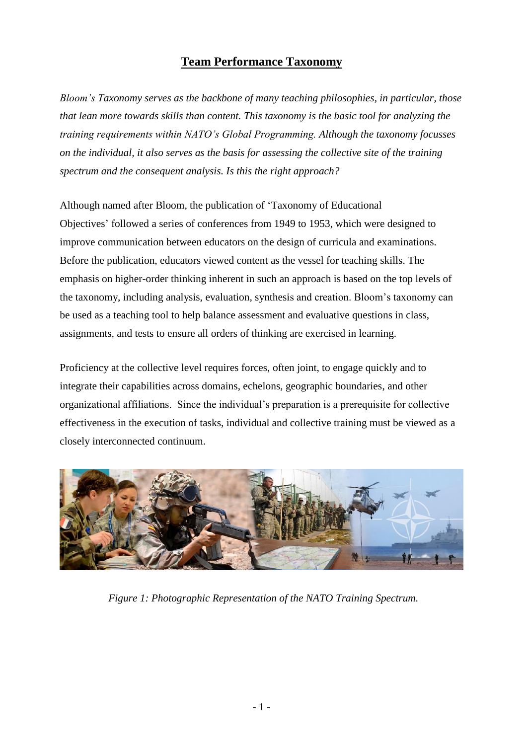# **Team Performance Taxonomy**

*Bloom's Taxonomy serves as the backbone of many teaching philosophies, in particular, those that lean more towards skills than content. This taxonomy is the basic tool for analyzing the training requirements within NATO's Global Programming. Although the taxonomy focusses on the individual, it also serves as the basis for assessing the collective site of the training spectrum and the consequent analysis. Is this the right approach?* 

Although named after Bloom, the publication of 'Taxonomy of Educational Objectives' followed a series of conferences from 1949 to 1953, which were designed to improve communication between educators on the design of curricula and examinations. Before the publication, educators viewed content as the vessel for teaching skills. The emphasis on higher-order thinking inherent in such an approach is based on the top levels of the taxonomy, including analysis, evaluation, synthesis and creation. Bloom's taxonomy can be used as a teaching tool to help balance assessment and evaluative questions in class, assignments, and tests to ensure all orders of thinking are exercised in learning.

Proficiency at the collective level requires forces, often joint, to engage quickly and to integrate their capabilities across domains, echelons, geographic boundaries, and other organizational affiliations. Since the individual's preparation is a prerequisite for collective effectiveness in the execution of tasks, individual and collective training must be viewed as a closely interconnected continuum.

<span id="page-0-0"></span>

*Figure 1: Photographic Representation of the NATO Training Spectrum.*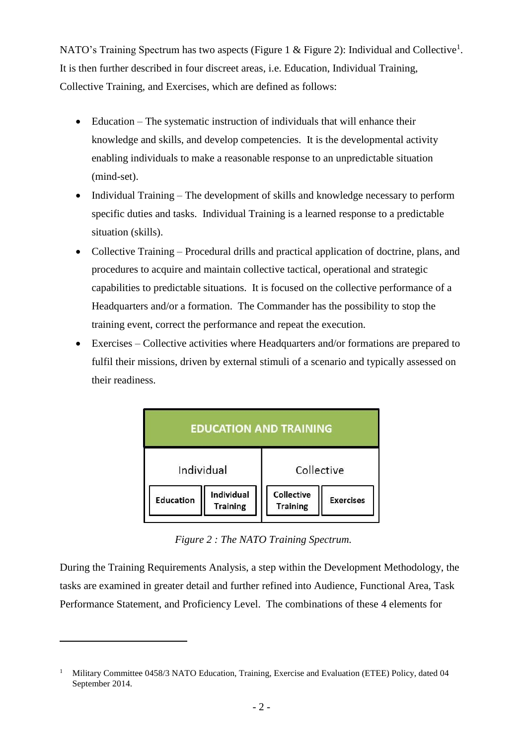NATO's Training Spectrum has two aspects [\(Figure 1](#page-0-0) & [Figure 2\)](#page-1-0): Individual and Collective<sup>1</sup>. It is then further described in four discreet areas, i.e. Education, Individual Training, Collective Training, and Exercises, which are defined as follows:

- Education The systematic instruction of individuals that will enhance their knowledge and skills, and develop competencies. It is the developmental activity enabling individuals to make a reasonable response to an unpredictable situation (mind-set).
- Individual Training The development of skills and knowledge necessary to perform specific duties and tasks. Individual Training is a learned response to a predictable situation (skills).
- Collective Training Procedural drills and practical application of doctrine, plans, and procedures to acquire and maintain collective tactical, operational and strategic capabilities to predictable situations. It is focused on the collective performance of a Headquarters and/or a formation. The Commander has the possibility to stop the training event, correct the performance and repeat the execution.
- Exercises Collective activities where Headquarters and/or formations are prepared to fulfil their missions, driven by external stimuli of a scenario and typically assessed on their readiness.



*Figure 2 : The NATO Training Spectrum.*

<span id="page-1-0"></span>During the Training Requirements Analysis, a step within the Development Methodology, the tasks are examined in greater detail and further refined into Audience, Functional Area, Task Performance Statement, and Proficiency Level. The combinations of these 4 elements for

<sup>&</sup>lt;sup>1</sup> Military Committee 0458/3 NATO Education, Training, Exercise and Evaluation (ETEE) Policy, dated 04 September 2014.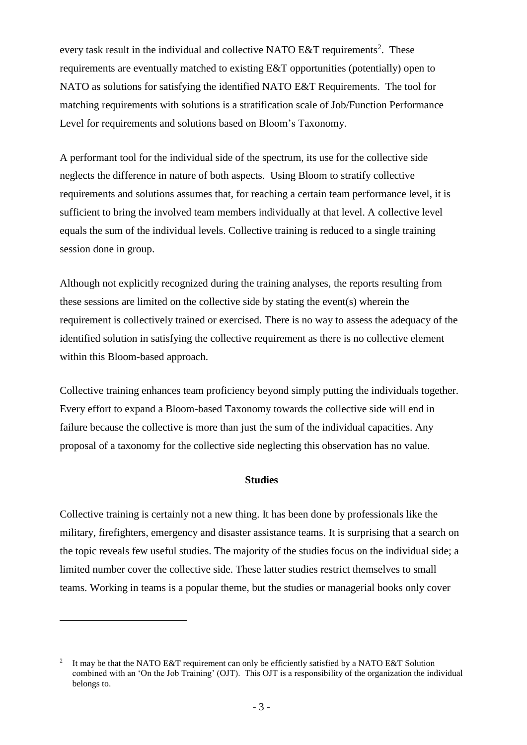every task result in the individual and collective NATO E&T requirements<sup>2</sup>. These requirements are eventually matched to existing E&T opportunities (potentially) open to NATO as solutions for satisfying the identified NATO E&T Requirements. The tool for matching requirements with solutions is a stratification scale of Job/Function Performance Level for requirements and solutions based on Bloom's Taxonomy.

A performant tool for the individual side of the spectrum, its use for the collective side neglects the difference in nature of both aspects. Using Bloom to stratify collective requirements and solutions assumes that, for reaching a certain team performance level, it is sufficient to bring the involved team members individually at that level. A collective level equals the sum of the individual levels. Collective training is reduced to a single training session done in group.

Although not explicitly recognized during the training analyses, the reports resulting from these sessions are limited on the collective side by stating the event(s) wherein the requirement is collectively trained or exercised. There is no way to assess the adequacy of the identified solution in satisfying the collective requirement as there is no collective element within this Bloom-based approach.

Collective training enhances team proficiency beyond simply putting the individuals together. Every effort to expand a Bloom-based Taxonomy towards the collective side will end in failure because the collective is more than just the sum of the individual capacities. Any proposal of a taxonomy for the collective side neglecting this observation has no value.

## **Studies**

Collective training is certainly not a new thing. It has been done by professionals like the military, firefighters, emergency and disaster assistance teams. It is surprising that a search on the topic reveals few useful studies. The majority of the studies focus on the individual side; a limited number cover the collective side. These latter studies restrict themselves to small teams. Working in teams is a popular theme, but the studies or managerial books only cover

<sup>2</sup> It may be that the NATO E&T requirement can only be efficiently satisfied by a NATO E&T Solution combined with an 'On the Job Training' (OJT). This OJT is a responsibility of the organization the individual belongs to.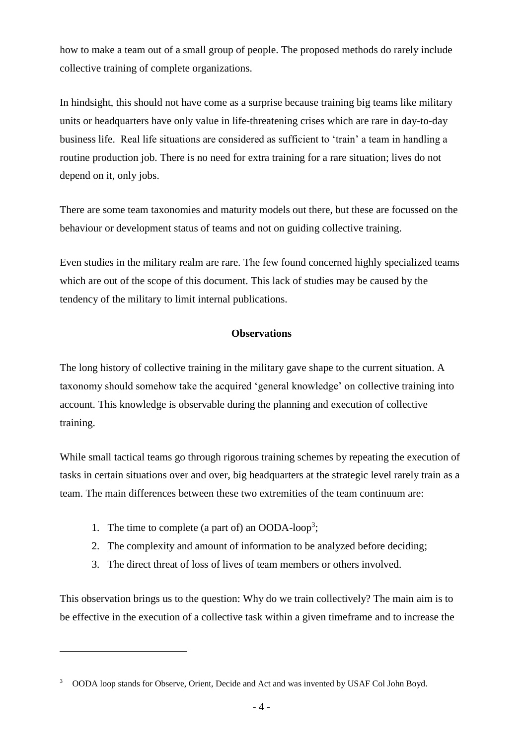how to make a team out of a small group of people. The proposed methods do rarely include collective training of complete organizations.

In hindsight, this should not have come as a surprise because training big teams like military units or headquarters have only value in life-threatening crises which are rare in day-to-day business life. Real life situations are considered as sufficient to 'train' a team in handling a routine production job. There is no need for extra training for a rare situation; lives do not depend on it, only jobs.

There are some team taxonomies and maturity models out there, but these are focussed on the behaviour or development status of teams and not on guiding collective training.

Even studies in the military realm are rare. The few found concerned highly specialized teams which are out of the scope of this document. This lack of studies may be caused by the tendency of the military to limit internal publications.

## **Observations**

The long history of collective training in the military gave shape to the current situation. A taxonomy should somehow take the acquired 'general knowledge' on collective training into account. This knowledge is observable during the planning and execution of collective training.

While small tactical teams go through rigorous training schemes by repeating the execution of tasks in certain situations over and over, big headquarters at the strategic level rarely train as a team. The main differences between these two extremities of the team continuum are:

1. The time to complete (a part of) an OODA-loop<sup>3</sup>;

 $\overline{a}$ 

- 2. The complexity and amount of information to be analyzed before deciding;
- 3. The direct threat of loss of lives of team members or others involved.

This observation brings us to the question: Why do we train collectively? The main aim is to be effective in the execution of a collective task within a given timeframe and to increase the

<sup>&</sup>lt;sup>3</sup> OODA loop stands for Observe, Orient, Decide and Act and was invented by USAF Col John Boyd.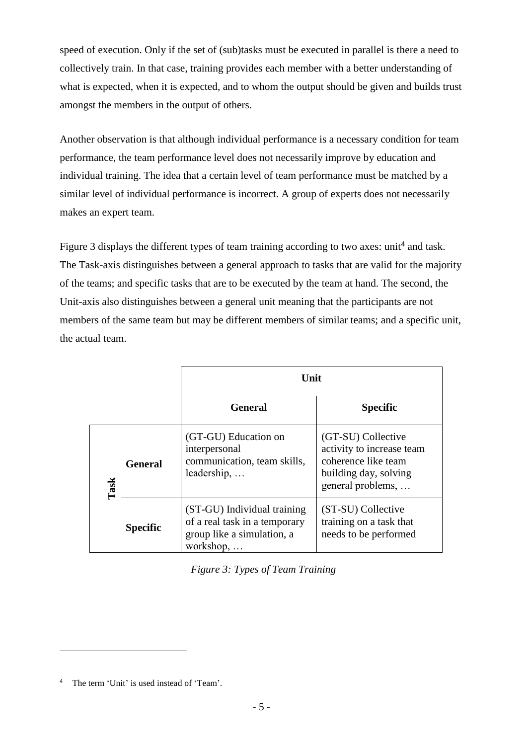speed of execution. Only if the set of (sub)tasks must be executed in parallel is there a need to collectively train. In that case, training provides each member with a better understanding of what is expected, when it is expected, and to whom the output should be given and builds trust amongst the members in the output of others.

Another observation is that although individual performance is a necessary condition for team performance, the team performance level does not necessarily improve by education and individual training. The idea that a certain level of team performance must be matched by a similar level of individual performance is incorrect. A group of experts does not necessarily makes an expert team.

[Figure 3](#page-4-0) displays the different types of team training according to two axes: unit<sup>4</sup> and task. The Task-axis distinguishes between a general approach to tasks that are valid for the majority of the teams; and specific tasks that are to be executed by the team at hand. The second, the Unit-axis also distinguishes between a general unit meaning that the participants are not members of the same team but may be different members of similar teams; and a specific unit, the actual team.

|      |                 | Unit                                                                                                    |                                                                                                                      |  |  |
|------|-----------------|---------------------------------------------------------------------------------------------------------|----------------------------------------------------------------------------------------------------------------------|--|--|
|      |                 | <b>General</b>                                                                                          | <b>Specific</b>                                                                                                      |  |  |
| Task | <b>General</b>  | (GT-GU) Education on<br>interpersonal<br>communication, team skills,<br>leadership,                     | (GT-SU) Collective<br>activity to increase team<br>coherence like team<br>building day, solving<br>general problems, |  |  |
|      | <b>Specific</b> | (ST-GU) Individual training<br>of a real task in a temporary<br>group like a simulation, a<br>workshop, | (ST-SU) Collective<br>training on a task that<br>needs to be performed                                               |  |  |

<span id="page-4-0"></span><sup>4</sup> The term 'Unit' is used instead of 'Team'.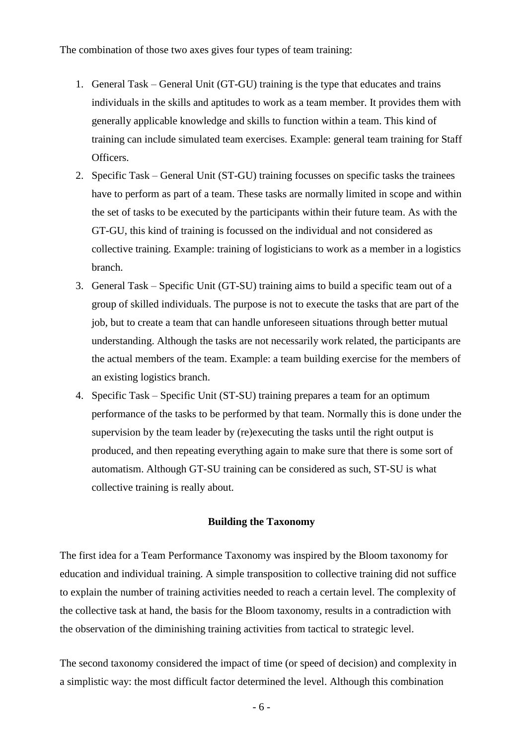The combination of those two axes gives four types of team training:

- 1. General Task General Unit (GT-GU) training is the type that educates and trains individuals in the skills and aptitudes to work as a team member. It provides them with generally applicable knowledge and skills to function within a team. This kind of training can include simulated team exercises. Example: general team training for Staff Officers.
- 2. Specific Task General Unit (ST-GU) training focusses on specific tasks the trainees have to perform as part of a team. These tasks are normally limited in scope and within the set of tasks to be executed by the participants within their future team. As with the GT-GU, this kind of training is focussed on the individual and not considered as collective training. Example: training of logisticians to work as a member in a logistics branch.
- 3. General Task Specific Unit (GT-SU) training aims to build a specific team out of a group of skilled individuals. The purpose is not to execute the tasks that are part of the job, but to create a team that can handle unforeseen situations through better mutual understanding. Although the tasks are not necessarily work related, the participants are the actual members of the team. Example: a team building exercise for the members of an existing logistics branch.
- 4. Specific Task Specific Unit (ST-SU) training prepares a team for an optimum performance of the tasks to be performed by that team. Normally this is done under the supervision by the team leader by (re)executing the tasks until the right output is produced, and then repeating everything again to make sure that there is some sort of automatism. Although GT-SU training can be considered as such, ST-SU is what collective training is really about.

#### **Building the Taxonomy**

The first idea for a Team Performance Taxonomy was inspired by the Bloom taxonomy for education and individual training. A simple transposition to collective training did not suffice to explain the number of training activities needed to reach a certain level. The complexity of the collective task at hand, the basis for the Bloom taxonomy, results in a contradiction with the observation of the diminishing training activities from tactical to strategic level.

The second taxonomy considered the impact of time (or speed of decision) and complexity in a simplistic way: the most difficult factor determined the level. Although this combination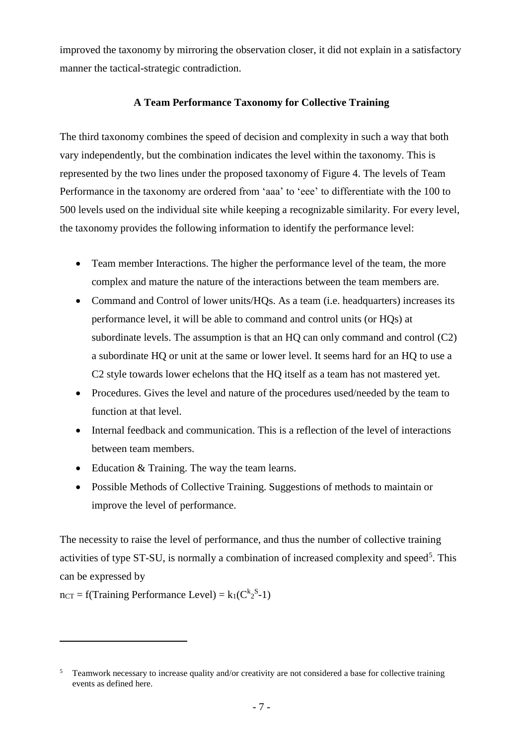improved the taxonomy by mirroring the observation closer, it did not explain in a satisfactory manner the tactical-strategic contradiction.

# **A Team Performance Taxonomy for Collective Training**

The third taxonomy combines the speed of decision and complexity in such a way that both vary independently, but the combination indicates the level within the taxonomy. This is represented by the two lines under the proposed taxonomy of [Figure 4.](#page-8-0) The levels of Team Performance in the taxonomy are ordered from 'aaa' to 'eee' to differentiate with the 100 to 500 levels used on the individual site while keeping a recognizable similarity. For every level, the taxonomy provides the following information to identify the performance level:

- Team member Interactions. The higher the performance level of the team, the more complex and mature the nature of the interactions between the team members are.
- Command and Control of lower units/HQs. As a team (i.e. headquarters) increases its performance level, it will be able to command and control units (or HQs) at subordinate levels. The assumption is that an  $HO$  can only command and control  $(C2)$ a subordinate HQ or unit at the same or lower level. It seems hard for an HQ to use a C2 style towards lower echelons that the HQ itself as a team has not mastered yet.
- Procedures. Gives the level and nature of the procedures used/needed by the team to function at that level.
- Internal feedback and communication. This is a reflection of the level of interactions between team members.
- Education & Training. The way the team learns.
- Possible Methods of Collective Training. Suggestions of methods to maintain or improve the level of performance.

The necessity to raise the level of performance, and thus the number of collective training activities of type ST-SU, is normally a combination of increased complexity and speed<sup>5</sup>. This can be expressed by

 $n_{CT} = f(T_{\text{raining}} \text{ Performance Level}) = k_1(C^k{}_2^S - 1)$ 

<sup>&</sup>lt;sup>5</sup> Teamwork necessary to increase quality and/or creativity are not considered a base for collective training events as defined here.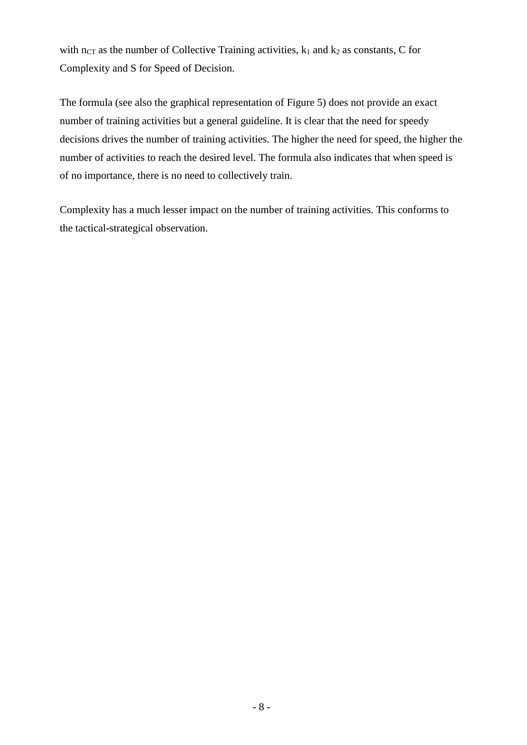with  $n_{CT}$  as the number of Collective Training activities,  $k_1$  and  $k_2$  as constants, C for Complexity and S for Speed of Decision.

The formula (see also the graphical representation of [Figure 5\)](#page-9-0) does not provide an exact number of training activities but a general guideline. It is clear that the need for speedy decisions drives the number of training activities. The higher the need for speed, the higher the number of activities to reach the desired level. The formula also indicates that when speed is of no importance, there is no need to collectively train.

Complexity has a much lesser impact on the number of training activities. This conforms to the tactical-strategical observation.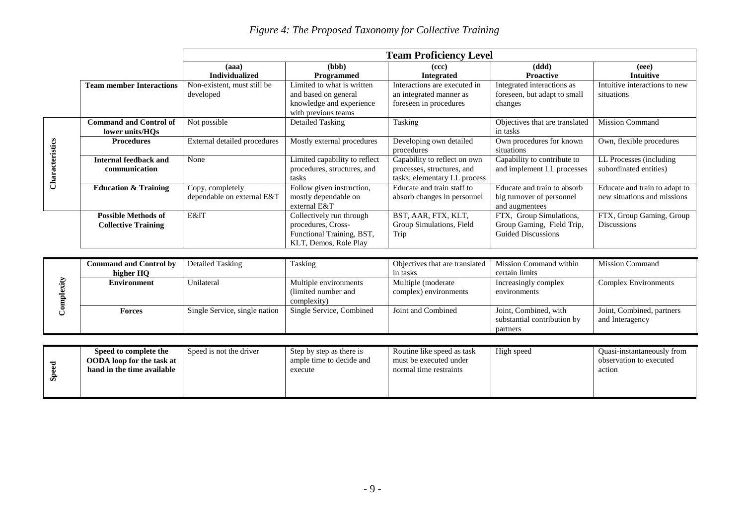|  | Figure 4: The Proposed Taxonomy for Collective Training |  |
|--|---------------------------------------------------------|--|
|  |                                                         |  |

|                 |                                                          | <b>Team Proficiency Level</b>                  |                                                                                                       |                                                                                            |                                                                                   |                                                              |
|-----------------|----------------------------------------------------------|------------------------------------------------|-------------------------------------------------------------------------------------------------------|--------------------------------------------------------------------------------------------|-----------------------------------------------------------------------------------|--------------------------------------------------------------|
|                 |                                                          | (aaa)<br><b>Individualized</b>                 | (bbb)<br><b>Programmed</b>                                                                            | (ccc)<br><b>Integrated</b>                                                                 | (ddd)<br><b>Proactive</b>                                                         | (eee)<br><b>Intuitive</b>                                    |
|                 | <b>Team member Interactions</b>                          | Non-existent, must still be<br>developed       | Limited to what is written<br>and based on general<br>knowledge and experience<br>with previous teams | Interactions are executed in<br>an integrated manner as<br>foreseen in procedures          | Integrated interactions as<br>foreseen, but adapt to small<br>changes             | Intuitive interactions to new<br>situations                  |
| Characteristics | <b>Command and Control of</b><br>lower units/HQs         | Not possible                                   | Detailed Tasking                                                                                      | Tasking                                                                                    | Objectives that are translated<br>in tasks                                        | <b>Mission Command</b>                                       |
|                 | <b>Procedures</b>                                        | External detailed procedures                   | Mostly external procedures                                                                            | Developing own detailed<br>procedures                                                      | Own procedures for known<br>situations                                            | Own, flexible procedures                                     |
|                 | <b>Internal feedback and</b><br>communication            | None                                           | Limited capability to reflect<br>procedures, structures, and<br>tasks                                 | Capability to reflect on own<br>processes, structures, and<br>tasks; elementary LL process | Capability to contribute to<br>and implement LL processes                         | LL Processes (including<br>subordinated entities)            |
|                 | <b>Education &amp; Training</b>                          | Copy, completely<br>dependable on external E&T | Follow given instruction,<br>mostly dependable on<br>external E&T                                     | Educate and train staff to<br>absorb changes in personnel                                  | Educate and train to absorb<br>big turnover of personnel<br>and augmentees        | Educate and train to adapt to<br>new situations and missions |
|                 | <b>Possible Methods of</b><br><b>Collective Training</b> | E&IT                                           | Collectively run through<br>procedures, Cross-<br>Functional Training, BST,<br>KLT, Demos, Role Play  | BST, AAR, FTX, KLT,<br>Group Simulations, Field<br>Trip                                    | FTX, Group Simulations,<br>Group Gaming, Field Trip,<br><b>Guided Discussions</b> | FTX, Group Gaming, Group<br><b>Discussions</b>               |
|                 |                                                          |                                                |                                                                                                       |                                                                                            |                                                                                   |                                                              |

<span id="page-8-0"></span>

|       | <b>Command and Control by</b>    | Detailed Tasking              | Tasking                  | Objectives that are translated | Mission Command within      | <b>Mission Command</b>      |
|-------|----------------------------------|-------------------------------|--------------------------|--------------------------------|-----------------------------|-----------------------------|
| Чŗ    | higher HO                        |                               |                          | in tasks                       | certain limits              |                             |
|       | <b>Environment</b>               | Unilateral                    | Multiple environments    | Multiple (moderate             | Increasingly complex        | <b>Complex Environments</b> |
|       |                                  |                               | (limited number and      | complex) environments          | environments                |                             |
|       |                                  |                               | complexity)              |                                |                             |                             |
|       | <b>Forces</b>                    | Single Service, single nation | Single Service, Combined | Joint and Combined             | Joint, Combined, with       | Joint, Combined, partners   |
|       |                                  |                               |                          |                                | substantial contribution by | and Interagency             |
|       |                                  |                               |                          |                                | partners                    |                             |
|       |                                  |                               |                          |                                |                             |                             |
|       | Speed to complete the            | Speed is not the driver       | Step by step as there is | Routine like speed as task     | High speed                  | Quasi-instantaneously from  |
| Speed | <b>OODA</b> loop for the task at |                               | ample time to decide and | must be executed under         |                             | observation to executed     |
|       | hand in the time available       |                               | execute                  | normal time restraints         |                             | action                      |
|       |                                  |                               |                          |                                |                             |                             |
|       |                                  |                               |                          |                                |                             |                             |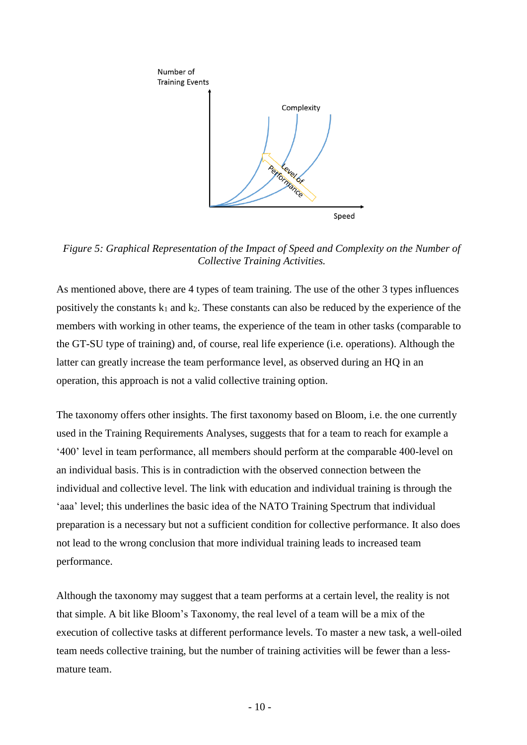

<span id="page-9-0"></span>*Figure 5: Graphical Representation of the Impact of Speed and Complexity on the Number of Collective Training Activities.*

As mentioned above, there are 4 types of team training. The use of the other 3 types influences positively the constants  $k_1$  and  $k_2$ . These constants can also be reduced by the experience of the members with working in other teams, the experience of the team in other tasks (comparable to the GT-SU type of training) and, of course, real life experience (i.e. operations). Although the latter can greatly increase the team performance level, as observed during an HQ in an operation, this approach is not a valid collective training option.

The taxonomy offers other insights. The first taxonomy based on Bloom, i.e. the one currently used in the Training Requirements Analyses, suggests that for a team to reach for example a '400' level in team performance, all members should perform at the comparable 400-level on an individual basis. This is in contradiction with the observed connection between the individual and collective level. The link with education and individual training is through the 'aaa' level; this underlines the basic idea of the NATO Training Spectrum that individual preparation is a necessary but not a sufficient condition for collective performance. It also does not lead to the wrong conclusion that more individual training leads to increased team performance.

Although the taxonomy may suggest that a team performs at a certain level, the reality is not that simple. A bit like Bloom's Taxonomy, the real level of a team will be a mix of the execution of collective tasks at different performance levels. To master a new task, a well-oiled team needs collective training, but the number of training activities will be fewer than a lessmature team.